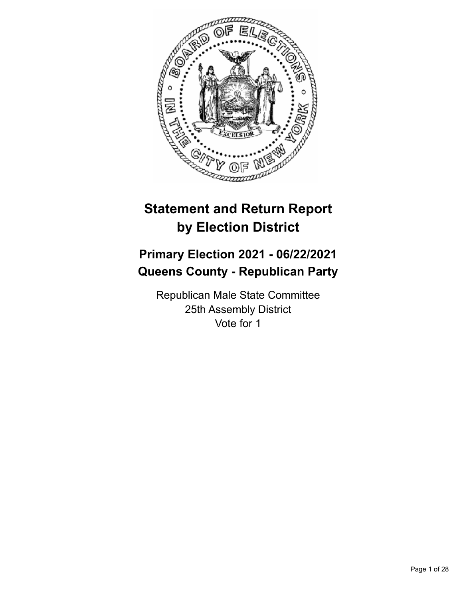

# **Statement and Return Report by Election District**

# **Primary Election 2021 - 06/22/2021 Queens County - Republican Party**

Republican Male State Committee 25th Assembly District Vote for 1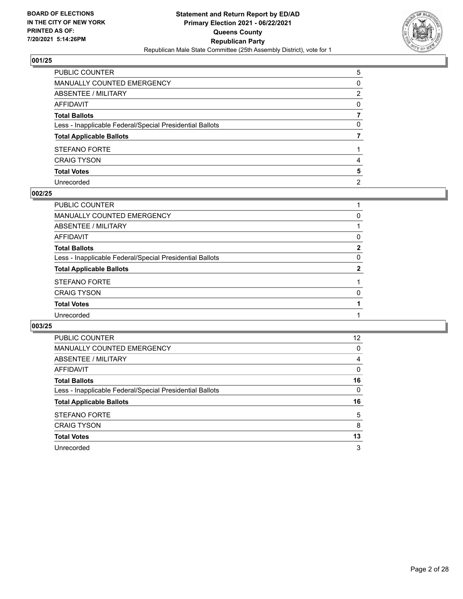

| PUBLIC COUNTER                                           | 5              |
|----------------------------------------------------------|----------------|
| MANUALLY COUNTED EMERGENCY                               | $\Omega$       |
| ABSENTEE / MILITARY                                      | 2              |
| AFFIDAVIT                                                | $\Omega$       |
| Total Ballots                                            |                |
| Less - Inapplicable Federal/Special Presidential Ballots | $\mathbf{0}$   |
| <b>Total Applicable Ballots</b>                          |                |
| STEFANO FORTE                                            |                |
| <b>CRAIG TYSON</b>                                       | 4              |
| <b>Total Votes</b>                                       | 5              |
| Unrecorded                                               | $\overline{2}$ |

#### **002/25**

| PUBLIC COUNTER                                           |              |
|----------------------------------------------------------|--------------|
| MANUALLY COUNTED EMERGENCY                               | 0            |
| <b>ABSENTEE / MILITARY</b>                               |              |
| AFFIDAVIT                                                | 0            |
| <b>Total Ballots</b>                                     | $\mathbf{2}$ |
| Less - Inapplicable Federal/Special Presidential Ballots | 0            |
| <b>Total Applicable Ballots</b>                          | 2            |
| <b>STEFANO FORTE</b>                                     |              |
| <b>CRAIG TYSON</b>                                       | 0            |
| <b>Total Votes</b>                                       |              |
| Unrecorded                                               |              |
|                                                          |              |

| <b>PUBLIC COUNTER</b>                                    | 12 |
|----------------------------------------------------------|----|
| <b>MANUALLY COUNTED EMERGENCY</b>                        | 0  |
| ABSENTEE / MILITARY                                      | 4  |
| AFFIDAVIT                                                | 0  |
| <b>Total Ballots</b>                                     | 16 |
| Less - Inapplicable Federal/Special Presidential Ballots | 0  |
|                                                          |    |
| <b>Total Applicable Ballots</b>                          | 16 |
| <b>STEFANO FORTE</b>                                     | 5  |
| <b>CRAIG TYSON</b>                                       | 8  |
| <b>Total Votes</b>                                       | 13 |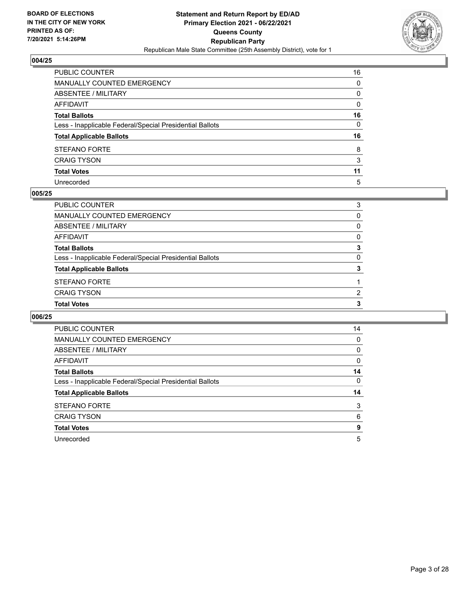

| PUBLIC COUNTER                                           | 16           |
|----------------------------------------------------------|--------------|
| MANUALLY COUNTED EMERGENCY                               | 0            |
| ABSENTEE / MILITARY                                      | 0            |
| AFFIDAVIT                                                | $\mathbf{0}$ |
| Total Ballots                                            | 16           |
| Less - Inapplicable Federal/Special Presidential Ballots | 0            |
| <b>Total Applicable Ballots</b>                          | 16           |
| <b>STEFANO FORTE</b>                                     | 8            |
| <b>CRAIG TYSON</b>                                       | 3            |
| <b>Total Votes</b>                                       | 11           |
| Unrecorded                                               | 5            |

#### **005/25**

| <b>Total Votes</b>                                       | 3        |
|----------------------------------------------------------|----------|
| <b>CRAIG TYSON</b>                                       | 2        |
| STEFANO FORTE                                            |          |
| <b>Total Applicable Ballots</b>                          | 3        |
| Less - Inapplicable Federal/Special Presidential Ballots | $\Omega$ |
| <b>Total Ballots</b>                                     | 3        |
| AFFIDAVIT                                                | 0        |
| ABSENTEE / MILITARY                                      | $\Omega$ |
| MANUALLY COUNTED EMERGENCY                               | 0        |
| PUBLIC COUNTER                                           | 3        |

| PUBLIC COUNTER                                           | 14       |
|----------------------------------------------------------|----------|
| <b>MANUALLY COUNTED EMERGENCY</b>                        | $\Omega$ |
| ABSENTEE / MILITARY                                      | 0        |
| <b>AFFIDAVIT</b>                                         | $\Omega$ |
| <b>Total Ballots</b>                                     | 14       |
| Less - Inapplicable Federal/Special Presidential Ballots | $\Omega$ |
| <b>Total Applicable Ballots</b>                          | 14       |
| STEFANO FORTE                                            | 3        |
| <b>CRAIG TYSON</b>                                       | 6        |
| <b>Total Votes</b>                                       | 9        |
| Unrecorded                                               | 5        |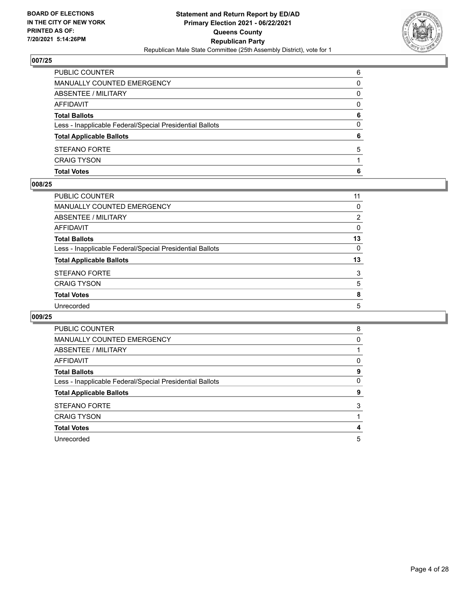

| <b>Total Votes</b>                                       | 6        |
|----------------------------------------------------------|----------|
| <b>CRAIG TYSON</b>                                       |          |
| STEFANO FORTE                                            | 5        |
| <b>Total Applicable Ballots</b>                          | 6        |
| Less - Inapplicable Federal/Special Presidential Ballots | 0        |
| <b>Total Ballots</b>                                     | 6        |
| <b>AFFIDAVIT</b>                                         | $\Omega$ |
| <b>ABSENTEE / MILITARY</b>                               | 0        |
| <b>MANUALLY COUNTED EMERGENCY</b>                        | 0        |
| PUBLIC COUNTER                                           | 6        |

#### **008/25**

| PUBLIC COUNTER                                           | 11 |
|----------------------------------------------------------|----|
| <b>MANUALLY COUNTED EMERGENCY</b>                        | 0  |
| <b>ABSENTEE / MILITARY</b>                               | 2  |
| AFFIDAVIT                                                | 0  |
| <b>Total Ballots</b>                                     | 13 |
| Less - Inapplicable Federal/Special Presidential Ballots | 0  |
| <b>Total Applicable Ballots</b>                          | 13 |
| <b>STEFANO FORTE</b>                                     | 3  |
| <b>CRAIG TYSON</b>                                       | 5  |
| <b>Total Votes</b>                                       | 8  |
| Unrecorded                                               | 5  |
|                                                          |    |

| <b>PUBLIC COUNTER</b>                                    | 8 |
|----------------------------------------------------------|---|
| MANUALLY COUNTED EMERGENCY                               | 0 |
| ABSENTEE / MILITARY                                      |   |
| <b>AFFIDAVIT</b>                                         | 0 |
| <b>Total Ballots</b>                                     | 9 |
| Less - Inapplicable Federal/Special Presidential Ballots | 0 |
| <b>Total Applicable Ballots</b>                          | 9 |
| <b>STEFANO FORTE</b>                                     | 3 |
| <b>CRAIG TYSON</b>                                       |   |
| <b>Total Votes</b>                                       | 4 |
| Unrecorded                                               | 5 |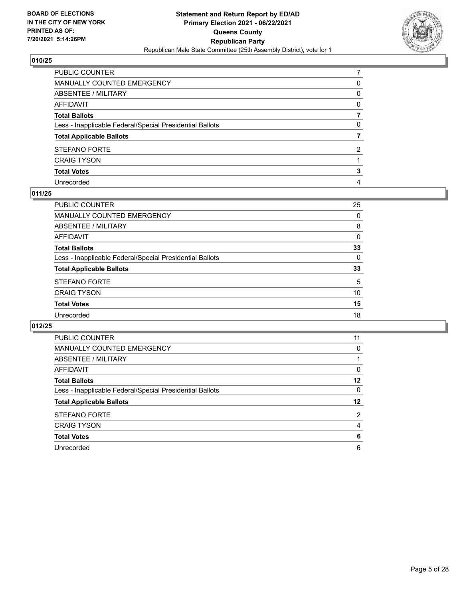

| PUBLIC COUNTER                                           |              |
|----------------------------------------------------------|--------------|
| MANUALLY COUNTED EMERGENCY                               | 0            |
| ABSENTEE / MILITARY                                      | $\mathbf{0}$ |
| AFFIDAVIT                                                | $\Omega$     |
| Total Ballots                                            |              |
| Less - Inapplicable Federal/Special Presidential Ballots | 0            |
| <b>Total Applicable Ballots</b>                          |              |
| <b>STEFANO FORTE</b>                                     | 2            |
| <b>CRAIG TYSON</b>                                       |              |
| <b>Total Votes</b>                                       | 3            |
| Unrecorded                                               | 4            |

# **011/25**

| PUBLIC COUNTER                                           | 25       |
|----------------------------------------------------------|----------|
| MANUALLY COUNTED EMERGENCY                               | 0        |
| <b>ABSENTEE / MILITARY</b>                               | 8        |
| AFFIDAVIT                                                | $\Omega$ |
| <b>Total Ballots</b>                                     | 33       |
| Less - Inapplicable Federal/Special Presidential Ballots | $\Omega$ |
| <b>Total Applicable Ballots</b>                          | 33       |
| <b>STEFANO FORTE</b>                                     | 5        |
| <b>CRAIG TYSON</b>                                       | 10       |
| <b>Total Votes</b>                                       | 15       |
| Unrecorded                                               | 18       |

| <b>PUBLIC COUNTER</b>                                    | 11 |
|----------------------------------------------------------|----|
| <b>MANUALLY COUNTED EMERGENCY</b>                        | 0  |
| ABSENTEE / MILITARY                                      |    |
| AFFIDAVIT                                                | 0  |
| <b>Total Ballots</b>                                     | 12 |
| Less - Inapplicable Federal/Special Presidential Ballots | 0  |
|                                                          |    |
| <b>Total Applicable Ballots</b>                          | 12 |
| <b>STEFANO FORTE</b>                                     | 2  |
| <b>CRAIG TYSON</b>                                       | 4  |
| <b>Total Votes</b>                                       | 6  |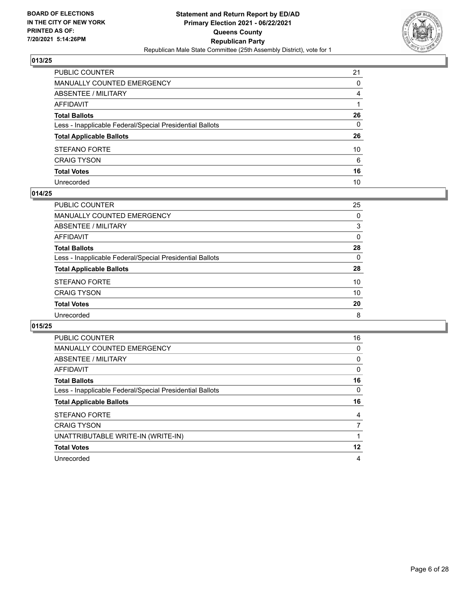

| PUBLIC COUNTER                                           | 21             |
|----------------------------------------------------------|----------------|
| MANUALLY COUNTED EMERGENCY                               | 0              |
| ABSENTEE / MILITARY                                      | $\overline{4}$ |
| AFFIDAVIT                                                |                |
| Total Ballots                                            | 26             |
| Less - Inapplicable Federal/Special Presidential Ballots | $\mathbf{0}$   |
| <b>Total Applicable Ballots</b>                          | 26             |
| STEFANO FORTE                                            | 10             |
| CRAIG TYSON                                              | 6              |
| <b>Total Votes</b>                                       | 16             |
| Unrecorded                                               | 10             |

#### **014/25**

| PUBLIC COUNTER                                           | 25       |
|----------------------------------------------------------|----------|
| MANUALLY COUNTED EMERGENCY                               | 0        |
| ABSENTEE / MILITARY                                      | 3        |
| AFFIDAVIT                                                | 0        |
| <b>Total Ballots</b>                                     | 28       |
| Less - Inapplicable Federal/Special Presidential Ballots | $\Omega$ |
| <b>Total Applicable Ballots</b>                          | 28       |
| <b>STEFANO FORTE</b>                                     | 10       |
| <b>CRAIG TYSON</b>                                       | 10       |
| <b>Total Votes</b>                                       | 20       |
| Unrecorded                                               | 8        |
|                                                          |          |

| <b>PUBLIC COUNTER</b>                                    | 16       |
|----------------------------------------------------------|----------|
| <b>MANUALLY COUNTED EMERGENCY</b>                        | 0        |
| ABSENTEE / MILITARY                                      | 0        |
| AFFIDAVIT                                                | 0        |
| <b>Total Ballots</b>                                     | 16       |
| Less - Inapplicable Federal/Special Presidential Ballots | $\Omega$ |
| <b>Total Applicable Ballots</b>                          | 16       |
|                                                          |          |
| <b>STEFANO FORTE</b>                                     | 4        |
| <b>CRAIG TYSON</b>                                       |          |
| UNATTRIBUTABLE WRITE-IN (WRITE-IN)                       |          |
| <b>Total Votes</b>                                       | 12       |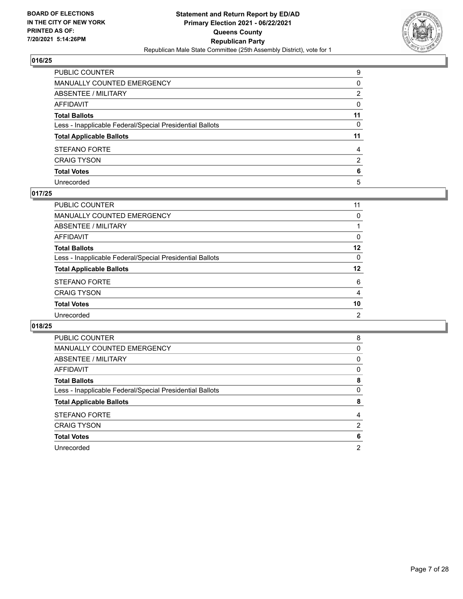

| PUBLIC COUNTER                                           | 9            |
|----------------------------------------------------------|--------------|
| MANUALLY COUNTED EMERGENCY                               | 0            |
| ABSENTEE / MILITARY                                      | 2            |
| AFFIDAVIT                                                | $\mathbf{0}$ |
| Total Ballots                                            | 11           |
| Less - Inapplicable Federal/Special Presidential Ballots | $\mathbf{0}$ |
| <b>Total Applicable Ballots</b>                          | 11           |
| STEFANO FORTE                                            | 4            |
| <b>CRAIG TYSON</b>                                       | 2            |
| <b>Total Votes</b>                                       | 6            |
| Unrecorded                                               | 5            |

# **017/25**

| PUBLIC COUNTER                                           | 11             |
|----------------------------------------------------------|----------------|
| MANUALLY COUNTED EMERGENCY                               | $\Omega$       |
| ABSENTEE / MILITARY                                      |                |
| AFFIDAVIT                                                | $\Omega$       |
| <b>Total Ballots</b>                                     | 12             |
| Less - Inapplicable Federal/Special Presidential Ballots | $\Omega$       |
| <b>Total Applicable Ballots</b>                          | 12             |
| <b>STEFANO FORTE</b>                                     | 6              |
| <b>CRAIG TYSON</b>                                       | $\overline{4}$ |
| <b>Total Votes</b>                                       | 10             |
| Unrecorded                                               | 2              |

| <b>PUBLIC COUNTER</b>                                    | 8        |
|----------------------------------------------------------|----------|
| <b>MANUALLY COUNTED EMERGENCY</b>                        | 0        |
| ABSENTEE / MILITARY                                      | $\Omega$ |
| AFFIDAVIT                                                | 0        |
| <b>Total Ballots</b>                                     | 8        |
| Less - Inapplicable Federal/Special Presidential Ballots | 0        |
| <b>Total Applicable Ballots</b>                          | 8        |
| <b>STEFANO FORTE</b>                                     | 4        |
| <b>CRAIG TYSON</b>                                       | 2        |
|                                                          |          |
| <b>Total Votes</b>                                       | 6        |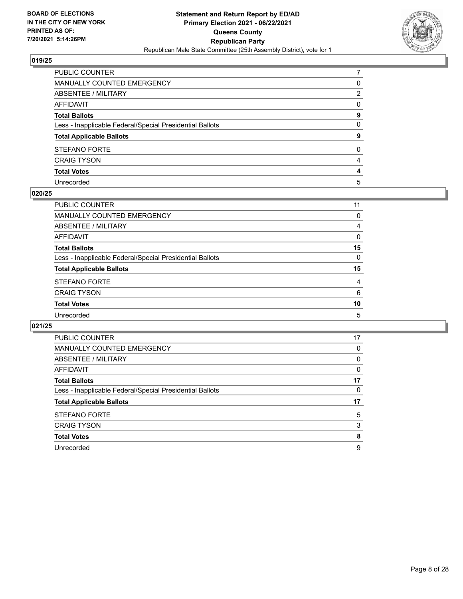

| PUBLIC COUNTER                                           |              |
|----------------------------------------------------------|--------------|
| MANUALLY COUNTED EMERGENCY                               | 0            |
| ABSENTEE / MILITARY                                      | 2            |
| AFFIDAVIT                                                | $\mathbf{0}$ |
| Total Ballots                                            | 9            |
| Less - Inapplicable Federal/Special Presidential Ballots | $\mathbf{0}$ |
| <b>Total Applicable Ballots</b>                          | 9            |
| STEFANO FORTE                                            | $\mathbf{0}$ |
| <b>CRAIG TYSON</b>                                       | 4            |
| <b>Total Votes</b>                                       | 4            |
| Unrecorded                                               | 5            |

#### **020/25**

| PUBLIC COUNTER                                           | 11       |
|----------------------------------------------------------|----------|
| MANUALLY COUNTED EMERGENCY                               | 0        |
| <b>ABSENTEE / MILITARY</b>                               | 4        |
| AFFIDAVIT                                                | $\Omega$ |
| <b>Total Ballots</b>                                     | 15       |
| Less - Inapplicable Federal/Special Presidential Ballots | $\Omega$ |
| <b>Total Applicable Ballots</b>                          | 15       |
| <b>STEFANO FORTE</b>                                     | 4        |
| <b>CRAIG TYSON</b>                                       | 6        |
| <b>Total Votes</b>                                       | 10       |
| Unrecorded                                               | 5        |

| <b>PUBLIC COUNTER</b>                                    | 17       |
|----------------------------------------------------------|----------|
| <b>MANUALLY COUNTED EMERGENCY</b>                        | 0        |
| ABSENTEE / MILITARY                                      | 0        |
| AFFIDAVIT                                                | $\Omega$ |
| <b>Total Ballots</b>                                     | 17       |
| Less - Inapplicable Federal/Special Presidential Ballots | 0        |
| <b>Total Applicable Ballots</b>                          | 17       |
| <b>STEFANO FORTE</b>                                     | 5        |
| <b>CRAIG TYSON</b>                                       | 3        |
| <b>Total Votes</b>                                       | 8        |
| Unrecorded                                               | 9        |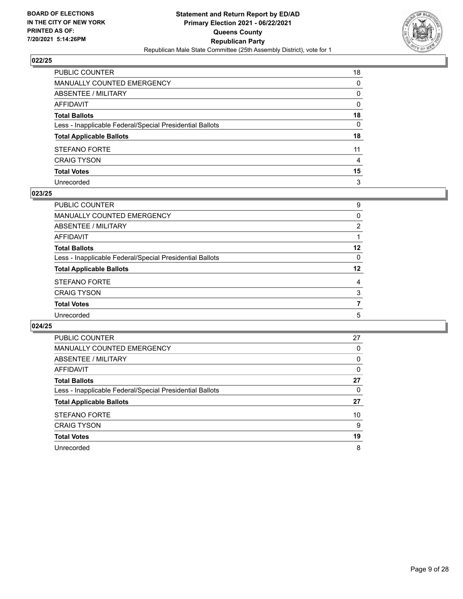

| PUBLIC COUNTER                                           | 18 |
|----------------------------------------------------------|----|
| MANUALLY COUNTED EMERGENCY                               | 0  |
| ABSENTEE / MILITARY                                      | 0  |
| AFFIDAVIT                                                | 0  |
| Total Ballots                                            | 18 |
| Less - Inapplicable Federal/Special Presidential Ballots | 0  |
| <b>Total Applicable Ballots</b>                          | 18 |
| STEFANO FORTE                                            | 11 |
| <b>CRAIG TYSON</b>                                       | 4  |
| <b>Total Votes</b>                                       | 15 |
| Unrecorded                                               | 3  |

#### **023/25**

| PUBLIC COUNTER                                           | 9        |
|----------------------------------------------------------|----------|
| <b>MANUALLY COUNTED EMERGENCY</b>                        | $\Omega$ |
| ABSENTEE / MILITARY                                      | 2        |
| AFFIDAVIT                                                |          |
| <b>Total Ballots</b>                                     | $12 \,$  |
| Less - Inapplicable Federal/Special Presidential Ballots | $\Omega$ |
| <b>Total Applicable Ballots</b>                          | 12       |
| <b>STEFANO FORTE</b>                                     | 4        |
| <b>CRAIG TYSON</b>                                       | 3        |
| <b>Total Votes</b>                                       | 7        |
| Unrecorded                                               | 5        |
|                                                          |          |

| <b>PUBLIC COUNTER</b>                                    | 27 |
|----------------------------------------------------------|----|
| <b>MANUALLY COUNTED EMERGENCY</b>                        | 0  |
| ABSENTEE / MILITARY                                      | 0  |
| AFFIDAVIT                                                | 0  |
| <b>Total Ballots</b>                                     | 27 |
| Less - Inapplicable Federal/Special Presidential Ballots | 0  |
| <b>Total Applicable Ballots</b>                          | 27 |
| <b>STEFANO FORTE</b>                                     | 10 |
| <b>CRAIG TYSON</b>                                       | 9  |
| <b>Total Votes</b>                                       | 19 |
| Unrecorded                                               | 8  |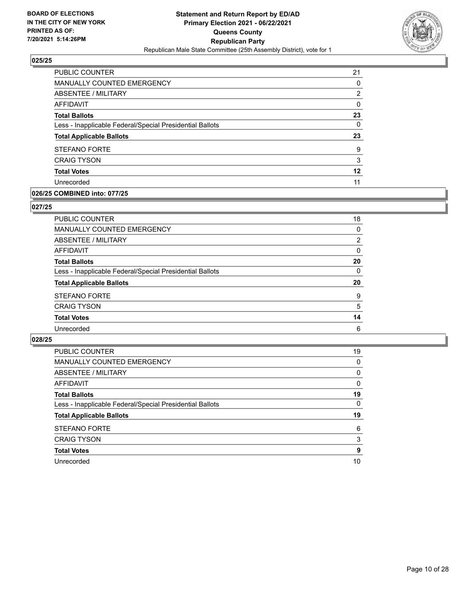

| <b>PUBLIC COUNTER</b>                                    | 21       |
|----------------------------------------------------------|----------|
| MANUALLY COUNTED EMERGENCY                               | 0        |
| <b>ABSENTEE / MILITARY</b>                               | 2        |
| AFFIDAVIT                                                | 0        |
| <b>Total Ballots</b>                                     | 23       |
| Less - Inapplicable Federal/Special Presidential Ballots | $\Omega$ |
| <b>Total Applicable Ballots</b>                          | 23       |
| <b>STEFANO FORTE</b>                                     | 9        |
| <b>CRAIG TYSON</b>                                       | 3        |
| <b>Total Votes</b>                                       | 12       |
|                                                          |          |

# **026/25 COMBINED into: 077/25**

#### **027/25**

| PUBLIC COUNTER                                           | 18             |
|----------------------------------------------------------|----------------|
| <b>MANUALLY COUNTED EMERGENCY</b>                        | 0              |
| <b>ABSENTEE / MILITARY</b>                               | $\overline{2}$ |
| <b>AFFIDAVIT</b>                                         | 0              |
| <b>Total Ballots</b>                                     | 20             |
| Less - Inapplicable Federal/Special Presidential Ballots | $\mathbf{0}$   |
| <b>Total Applicable Ballots</b>                          | 20             |
| <b>STEFANO FORTE</b>                                     | 9              |
| <b>CRAIG TYSON</b>                                       | 5              |
| <b>Total Votes</b>                                       | 14             |
| Unrecorded                                               | 6              |

| <b>PUBLIC COUNTER</b>                                    | 19       |
|----------------------------------------------------------|----------|
| MANUALLY COUNTED EMERGENCY                               | 0        |
| ABSENTEE / MILITARY                                      | $\Omega$ |
| AFFIDAVIT                                                | $\Omega$ |
| <b>Total Ballots</b>                                     | 19       |
| Less - Inapplicable Federal/Special Presidential Ballots | $\Omega$ |
| <b>Total Applicable Ballots</b>                          | 19       |
| STEFANO FORTE                                            | 6        |
| <b>CRAIG TYSON</b>                                       | 3        |
|                                                          |          |
| <b>Total Votes</b>                                       | 9        |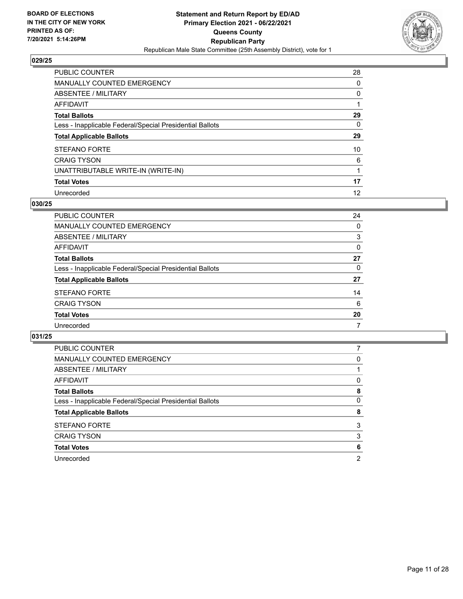

| PUBLIC COUNTER                                           | 28 |
|----------------------------------------------------------|----|
| MANUALLY COUNTED EMERGENCY                               | 0  |
| ABSENTEE / MILITARY                                      | 0  |
| AFFIDAVIT                                                |    |
| <b>Total Ballots</b>                                     | 29 |
| Less - Inapplicable Federal/Special Presidential Ballots | 0  |
| <b>Total Applicable Ballots</b>                          | 29 |
| <b>STEFANO FORTE</b>                                     | 10 |
| <b>CRAIG TYSON</b>                                       | 6  |
| UNATTRIBUTABLE WRITE-IN (WRITE-IN)                       |    |
| <b>Total Votes</b>                                       | 17 |
| Unrecorded                                               | 12 |

#### **030/25**

| <b>PUBLIC COUNTER</b>                                    | 24       |
|----------------------------------------------------------|----------|
| MANUALLY COUNTED EMERGENCY                               | 0        |
| ABSENTEE / MILITARY                                      | 3        |
| AFFIDAVIT                                                | 0        |
| <b>Total Ballots</b>                                     | 27       |
| Less - Inapplicable Federal/Special Presidential Ballots | $\Omega$ |
| <b>Total Applicable Ballots</b>                          | 27       |
| <b>STEFANO FORTE</b>                                     | 14       |
| <b>CRAIG TYSON</b>                                       | 6        |
| <b>Total Votes</b>                                       | 20       |
| Unrecorded                                               | 7        |

| PUBLIC COUNTER                                           |   |
|----------------------------------------------------------|---|
| MANUALLY COUNTED EMERGENCY                               | 0 |
| ABSENTEE / MILITARY                                      |   |
| AFFIDAVIT                                                | 0 |
| <b>Total Ballots</b>                                     | 8 |
| Less - Inapplicable Federal/Special Presidential Ballots | 0 |
| <b>Total Applicable Ballots</b>                          | 8 |
| <b>STEFANO FORTE</b>                                     | 3 |
| <b>CRAIG TYSON</b>                                       | 3 |
| <b>Total Votes</b>                                       | 6 |
| Unrecorded                                               | 2 |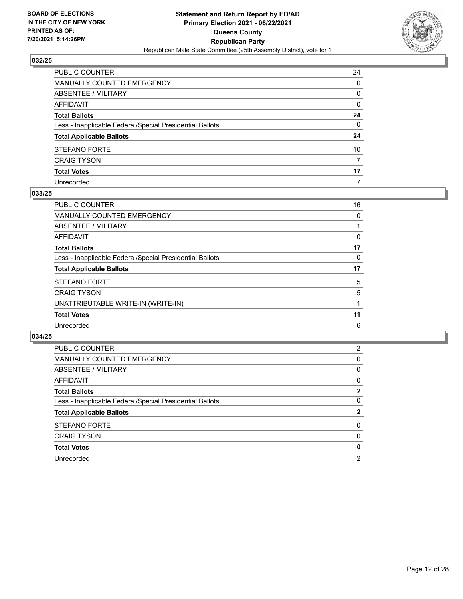

| PUBLIC COUNTER                                           | 24           |
|----------------------------------------------------------|--------------|
| MANUALLY COUNTED EMERGENCY                               | 0            |
| ABSENTEE / MILITARY                                      | 0            |
| AFFIDAVIT                                                | 0            |
| Total Ballots                                            | 24           |
| Less - Inapplicable Federal/Special Presidential Ballots | $\mathbf{0}$ |
| <b>Total Applicable Ballots</b>                          | 24           |
| STEFANO FORTE                                            | 10           |
| <b>CRAIG TYSON</b>                                       | 7            |
| <b>Total Votes</b>                                       | 17           |
| Unrecorded                                               | 7            |

#### **033/25**

| PUBLIC COUNTER                                           | 16 |
|----------------------------------------------------------|----|
| <b>MANUALLY COUNTED EMERGENCY</b>                        | 0  |
| ABSENTEE / MILITARY                                      |    |
| AFFIDAVIT                                                | 0  |
| <b>Total Ballots</b>                                     | 17 |
| Less - Inapplicable Federal/Special Presidential Ballots | 0  |
| <b>Total Applicable Ballots</b>                          | 17 |
| <b>STEFANO FORTE</b>                                     | 5  |
| <b>CRAIG TYSON</b>                                       | 5  |
| UNATTRIBUTABLE WRITE-IN (WRITE-IN)                       |    |
| <b>Total Votes</b>                                       | 11 |
| Unrecorded                                               | 6  |
|                                                          |    |

| <b>PUBLIC COUNTER</b>                                    | 2            |
|----------------------------------------------------------|--------------|
| <b>MANUALLY COUNTED EMERGENCY</b>                        | 0            |
| ABSENTEE / MILITARY                                      | 0            |
| <b>AFFIDAVIT</b>                                         | 0            |
| <b>Total Ballots</b>                                     | 2            |
| Less - Inapplicable Federal/Special Presidential Ballots | 0            |
| <b>Total Applicable Ballots</b>                          | $\mathbf{2}$ |
| <b>STEFANO FORTE</b>                                     | 0            |
| <b>CRAIG TYSON</b>                                       | $\Omega$     |
| <b>Total Votes</b>                                       | 0            |
| Unrecorded                                               | 2            |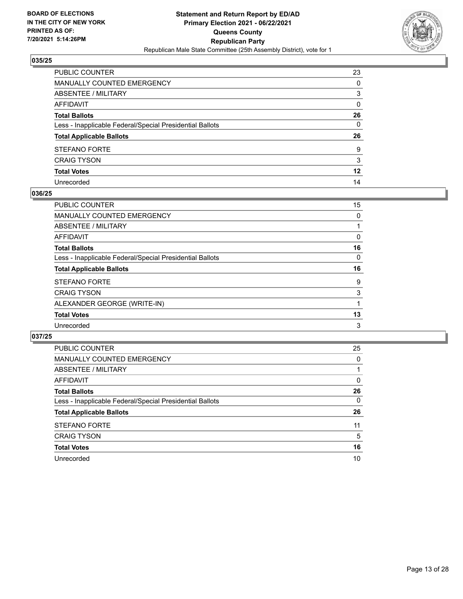

| PUBLIC COUNTER                                           | 23      |
|----------------------------------------------------------|---------|
| MANUALLY COUNTED EMERGENCY                               | 0       |
| ABSENTEE / MILITARY                                      | 3       |
| AFFIDAVIT                                                | 0       |
| Total Ballots                                            | 26      |
| Less - Inapplicable Federal/Special Presidential Ballots | 0       |
| <b>Total Applicable Ballots</b>                          | 26      |
| STEFANO FORTE                                            | 9       |
| <b>CRAIG TYSON</b>                                       | 3       |
| <b>Total Votes</b>                                       | $12 \,$ |
| Unrecorded                                               | 14      |

#### **036/25**

| <b>PUBLIC COUNTER</b>                                    | 15 |
|----------------------------------------------------------|----|
| <b>MANUALLY COUNTED EMERGENCY</b>                        | 0  |
| ABSENTEE / MILITARY                                      |    |
| AFFIDAVIT                                                | 0  |
| <b>Total Ballots</b>                                     | 16 |
| Less - Inapplicable Federal/Special Presidential Ballots | 0  |
| <b>Total Applicable Ballots</b>                          | 16 |
| <b>STEFANO FORTE</b>                                     | 9  |
| <b>CRAIG TYSON</b>                                       | 3  |
| ALEXANDER GEORGE (WRITE-IN)                              |    |
| <b>Total Votes</b>                                       | 13 |
| Unrecorded                                               | 3  |

| PUBLIC COUNTER                                           | 25       |
|----------------------------------------------------------|----------|
| <b>MANUALLY COUNTED EMERGENCY</b>                        | $\Omega$ |
| ABSENTEE / MILITARY                                      |          |
| AFFIDAVIT                                                | 0        |
| <b>Total Ballots</b>                                     | 26       |
| Less - Inapplicable Federal/Special Presidential Ballots | $\Omega$ |
| <b>Total Applicable Ballots</b>                          | 26       |
| <b>STEFANO FORTE</b>                                     | 11       |
| <b>CRAIG TYSON</b>                                       | 5        |
| <b>Total Votes</b>                                       | 16       |
| Unrecorded                                               | 10       |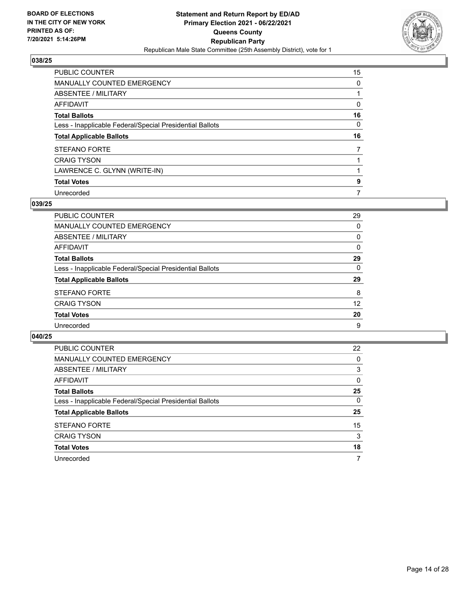

| PUBLIC COUNTER                                           | 15 |
|----------------------------------------------------------|----|
| MANUALLY COUNTED EMERGENCY                               | 0  |
| ABSENTEE / MILITARY                                      |    |
| AFFIDAVIT                                                | 0  |
| <b>Total Ballots</b>                                     | 16 |
| Less - Inapplicable Federal/Special Presidential Ballots | 0  |
| <b>Total Applicable Ballots</b>                          | 16 |
|                                                          |    |
| <b>STEFANO FORTE</b>                                     | 7  |
| <b>CRAIG TYSON</b>                                       |    |
| LAWRENCE C. GLYNN (WRITE-IN)                             |    |
| <b>Total Votes</b>                                       | 9  |

### **039/25**

| PUBLIC COUNTER                                           | 29       |
|----------------------------------------------------------|----------|
| <b>MANUALLY COUNTED EMERGENCY</b>                        | 0        |
| ABSENTEE / MILITARY                                      | $\Omega$ |
| AFFIDAVIT                                                | $\Omega$ |
| <b>Total Ballots</b>                                     | 29       |
| Less - Inapplicable Federal/Special Presidential Ballots | $\Omega$ |
| <b>Total Applicable Ballots</b>                          | 29       |
| <b>STEFANO FORTE</b>                                     | 8        |
| <b>CRAIG TYSON</b>                                       | 12       |
| <b>Total Votes</b>                                       | 20       |
| Unrecorded                                               | 9        |

| PUBLIC COUNTER                                           | 22       |
|----------------------------------------------------------|----------|
| MANUALLY COUNTED EMERGENCY                               | 0        |
| ABSENTEE / MILITARY                                      | 3        |
| AFFIDAVIT                                                | $\Omega$ |
| <b>Total Ballots</b>                                     | 25       |
| Less - Inapplicable Federal/Special Presidential Ballots | $\Omega$ |
| <b>Total Applicable Ballots</b>                          | 25       |
| <b>STEFANO FORTE</b>                                     | 15       |
| <b>CRAIG TYSON</b>                                       | 3        |
| <b>Total Votes</b>                                       | 18       |
| Unrecorded                                               | 7        |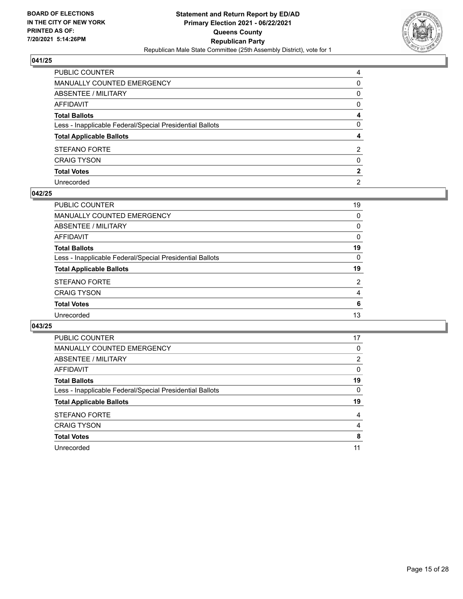

| PUBLIC COUNTER                                           | 4              |
|----------------------------------------------------------|----------------|
| MANUALLY COUNTED EMERGENCY                               | $\Omega$       |
| ABSENTEE / MILITARY                                      | 0              |
| AFFIDAVIT                                                | $\mathbf{0}$   |
| Total Ballots                                            | 4              |
| Less - Inapplicable Federal/Special Presidential Ballots | $\mathbf{0}$   |
| <b>Total Applicable Ballots</b>                          | 4              |
| STEFANO FORTE                                            | 2              |
| <b>CRAIG TYSON</b>                                       | $\mathbf{0}$   |
| <b>Total Votes</b>                                       | $\mathbf{2}$   |
| Unrecorded                                               | $\overline{2}$ |

#### **042/25**

| PUBLIC COUNTER                                           | 19             |
|----------------------------------------------------------|----------------|
| <b>MANUALLY COUNTED EMERGENCY</b>                        | $\Omega$       |
| ABSENTEE / MILITARY                                      | 0              |
| AFFIDAVIT                                                | 0              |
| <b>Total Ballots</b>                                     | 19             |
| Less - Inapplicable Federal/Special Presidential Ballots | $\Omega$       |
| <b>Total Applicable Ballots</b>                          | 19             |
| <b>STEFANO FORTE</b>                                     | $\overline{2}$ |
| <b>CRAIG TYSON</b>                                       | 4              |
| <b>Total Votes</b>                                       | 6              |
| Unrecorded                                               | 13             |
|                                                          |                |

| <b>PUBLIC COUNTER</b>                                    | 17       |
|----------------------------------------------------------|----------|
| <b>MANUALLY COUNTED EMERGENCY</b>                        | 0        |
| ABSENTEE / MILITARY                                      | 2        |
| AFFIDAVIT                                                | $\Omega$ |
| <b>Total Ballots</b>                                     | 19       |
| Less - Inapplicable Federal/Special Presidential Ballots | $\Omega$ |
| <b>Total Applicable Ballots</b>                          | 19       |
| <b>STEFANO FORTE</b>                                     | 4        |
| <b>CRAIG TYSON</b>                                       | 4        |
| <b>Total Votes</b>                                       | 8        |
| Unrecorded                                               | 11       |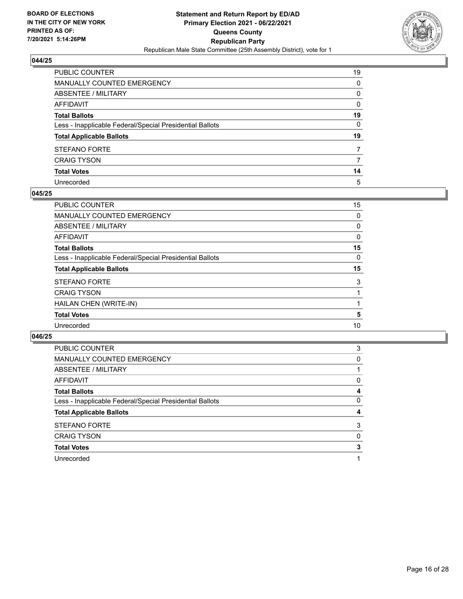

| PUBLIC COUNTER                                           | 19           |
|----------------------------------------------------------|--------------|
| MANUALLY COUNTED EMERGENCY                               | 0            |
| ABSENTEE / MILITARY                                      | 0            |
| AFFIDAVIT                                                | $\mathbf{0}$ |
| Total Ballots                                            | 19           |
| Less - Inapplicable Federal/Special Presidential Ballots | 0            |
| <b>Total Applicable Ballots</b>                          | 19           |
| STEFANO FORTE                                            | 7            |
| <b>CRAIG TYSON</b>                                       | 7            |
| <b>Total Votes</b>                                       | 14           |
| Unrecorded                                               | 5            |

#### **045/25**

| PUBLIC COUNTER                                           | 15       |
|----------------------------------------------------------|----------|
| <b>MANUALLY COUNTED EMERGENCY</b>                        | 0        |
| ABSENTEE / MILITARY                                      | 0        |
| AFFIDAVIT                                                | 0        |
| <b>Total Ballots</b>                                     | 15       |
| Less - Inapplicable Federal/Special Presidential Ballots | $\Omega$ |
| <b>Total Applicable Ballots</b>                          | 15       |
| <b>STEFANO FORTE</b>                                     | 3        |
| <b>CRAIG TYSON</b>                                       |          |
| HAILAN CHEN (WRITE-IN)                                   |          |
| <b>Total Votes</b>                                       | 5        |
| Unrecorded                                               | 10       |
|                                                          |          |

| <b>PUBLIC COUNTER</b>                                    | 3 |
|----------------------------------------------------------|---|
| MANUALLY COUNTED EMERGENCY                               | 0 |
| ABSENTEE / MILITARY                                      |   |
| AFFIDAVIT                                                | 0 |
| <b>Total Ballots</b>                                     | 4 |
| Less - Inapplicable Federal/Special Presidential Ballots | 0 |
| <b>Total Applicable Ballots</b>                          | 4 |
| <b>STEFANO FORTE</b>                                     | 3 |
| <b>CRAIG TYSON</b>                                       | 0 |
| <b>Total Votes</b>                                       | 3 |
| Unrecorded                                               |   |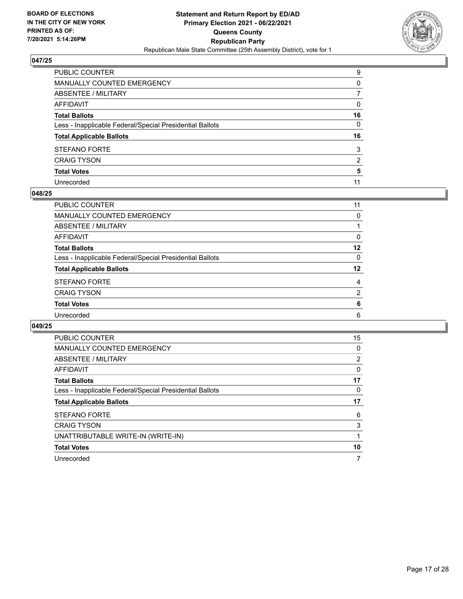

| PUBLIC COUNTER                                           | 9            |
|----------------------------------------------------------|--------------|
| MANUALLY COUNTED EMERGENCY                               | $\Omega$     |
| ABSENTEE / MILITARY                                      | 7            |
| AFFIDAVIT                                                | $\mathbf{0}$ |
| Total Ballots                                            | 16           |
| Less - Inapplicable Federal/Special Presidential Ballots | $\mathbf{0}$ |
| <b>Total Applicable Ballots</b>                          | 16           |
| STEFANO FORTE                                            | 3            |
| <b>CRAIG TYSON</b>                                       | 2            |
| <b>Total Votes</b>                                       | 5            |
| Unrecorded                                               | 11           |

#### **048/25**

| PUBLIC COUNTER                                           | 11             |
|----------------------------------------------------------|----------------|
| MANUALLY COUNTED EMERGENCY                               | 0              |
| ABSENTEE / MILITARY                                      |                |
| AFFIDAVIT                                                | 0              |
| <b>Total Ballots</b>                                     | 12             |
| Less - Inapplicable Federal/Special Presidential Ballots | $\Omega$       |
| <b>Total Applicable Ballots</b>                          | 12             |
| <b>STEFANO FORTE</b>                                     | 4              |
| <b>CRAIG TYSON</b>                                       | $\overline{2}$ |
| <b>Total Votes</b>                                       | 6              |
| Unrecorded                                               | 6              |
|                                                          |                |

| <b>PUBLIC COUNTER</b>                                    | 15 |
|----------------------------------------------------------|----|
| <b>MANUALLY COUNTED EMERGENCY</b>                        | 0  |
| ABSENTEE / MILITARY                                      | 2  |
| AFFIDAVIT                                                | 0  |
| <b>Total Ballots</b>                                     | 17 |
| Less - Inapplicable Federal/Special Presidential Ballots | 0  |
| <b>Total Applicable Ballots</b>                          | 17 |
| <b>STEFANO FORTE</b>                                     | 6  |
| <b>CRAIG TYSON</b>                                       | 3  |
| UNATTRIBUTABLE WRITE-IN (WRITE-IN)                       |    |
| <b>Total Votes</b>                                       | 10 |
| Unrecorded                                               |    |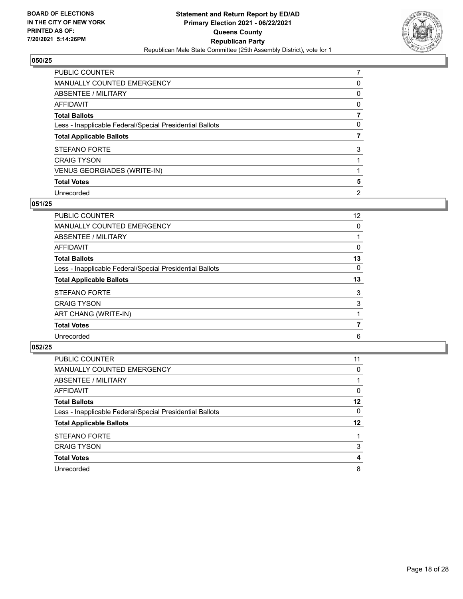

| <b>PUBLIC COUNTER</b>                                    | 7              |
|----------------------------------------------------------|----------------|
| <b>MANUALLY COUNTED EMERGENCY</b>                        | 0              |
| <b>ABSENTEE / MILITARY</b>                               | 0              |
| AFFIDAVIT                                                | 0              |
| <b>Total Ballots</b>                                     |                |
| Less - Inapplicable Federal/Special Presidential Ballots | 0              |
| <b>Total Applicable Ballots</b>                          |                |
| <b>STEFANO FORTE</b>                                     | 3              |
| <b>CRAIG TYSON</b>                                       |                |
| <b>VENUS GEORGIADES (WRITE-IN)</b>                       |                |
| <b>Total Votes</b>                                       | 5              |
| Unrecorded                                               | $\overline{2}$ |

# **051/25**

| <b>PUBLIC COUNTER</b>                                    | $12 \overline{ }$ |
|----------------------------------------------------------|-------------------|
| <b>MANUALLY COUNTED EMERGENCY</b>                        | 0                 |
| ABSENTEE / MILITARY                                      |                   |
| AFFIDAVIT                                                | 0                 |
| <b>Total Ballots</b>                                     | 13                |
| Less - Inapplicable Federal/Special Presidential Ballots | $\Omega$          |
| <b>Total Applicable Ballots</b>                          | 13                |
| <b>STEFANO FORTE</b>                                     | 3                 |
| <b>CRAIG TYSON</b>                                       | 3                 |
| ART CHANG (WRITE-IN)                                     |                   |
| <b>Total Votes</b>                                       | 7                 |
| Unrecorded                                               | 6                 |
|                                                          |                   |

| PUBLIC COUNTER                                           | 11      |
|----------------------------------------------------------|---------|
| <b>MANUALLY COUNTED EMERGENCY</b>                        | 0       |
| ABSENTEE / MILITARY                                      |         |
| AFFIDAVIT                                                | 0       |
| <b>Total Ballots</b>                                     | 12      |
| Less - Inapplicable Federal/Special Presidential Ballots | 0       |
| <b>Total Applicable Ballots</b>                          | $12 \,$ |
| <b>STEFANO FORTE</b>                                     |         |
| <b>CRAIG TYSON</b>                                       | 3       |
| <b>Total Votes</b>                                       | 4       |
| Unrecorded                                               | 8       |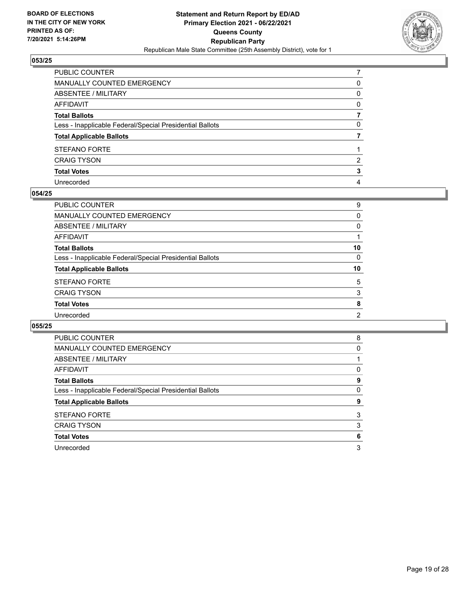

| PUBLIC COUNTER                                           |              |
|----------------------------------------------------------|--------------|
| MANUALLY COUNTED EMERGENCY                               | 0            |
| ABSENTEE / MILITARY                                      | 0            |
| AFFIDAVIT                                                | $\mathbf{0}$ |
| Total Ballots                                            |              |
| Less - Inapplicable Federal/Special Presidential Ballots | $\mathbf{0}$ |
| <b>Total Applicable Ballots</b>                          |              |
| STEFANO FORTE                                            |              |
| <b>CRAIG TYSON</b>                                       | 2            |
| <b>Total Votes</b>                                       | 3            |
| Unrecorded                                               | 4            |

#### **054/25**

| <b>PUBLIC COUNTER</b>                                    | 9              |
|----------------------------------------------------------|----------------|
| <b>MANUALLY COUNTED EMERGENCY</b>                        | $\Omega$       |
| <b>ABSENTEE / MILITARY</b>                               | 0              |
| <b>AFFIDAVIT</b>                                         |                |
| <b>Total Ballots</b>                                     | 10             |
| Less - Inapplicable Federal/Special Presidential Ballots | $\Omega$       |
| <b>Total Applicable Ballots</b>                          | 10             |
| <b>STEFANO FORTE</b>                                     | 5              |
| <b>CRAIG TYSON</b>                                       | 3              |
| <b>Total Votes</b>                                       | 8              |
| Unrecorded                                               | $\overline{2}$ |
|                                                          |                |

| <b>PUBLIC COUNTER</b>                                    | 8        |
|----------------------------------------------------------|----------|
| <b>MANUALLY COUNTED EMERGENCY</b>                        | 0        |
| ABSENTEE / MILITARY                                      |          |
| AFFIDAVIT                                                | $\Omega$ |
| <b>Total Ballots</b>                                     | 9        |
| Less - Inapplicable Federal/Special Presidential Ballots | 0        |
|                                                          |          |
| <b>Total Applicable Ballots</b>                          | 9        |
| <b>STEFANO FORTE</b>                                     | 3        |
| <b>CRAIG TYSON</b>                                       | 3        |
| <b>Total Votes</b>                                       | 6        |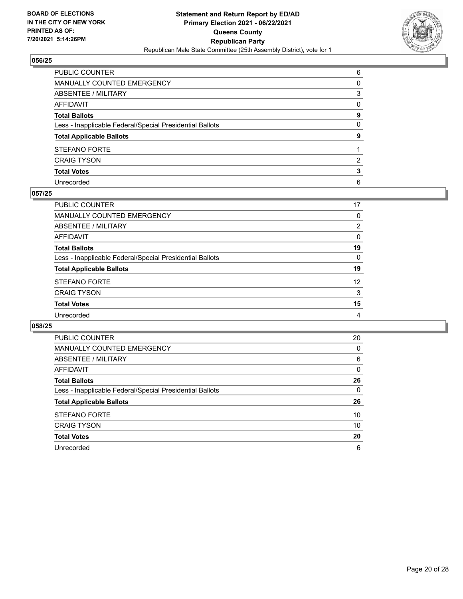

| PUBLIC COUNTER                                           | 6            |
|----------------------------------------------------------|--------------|
| MANUALLY COUNTED EMERGENCY                               | $\Omega$     |
| ABSENTEE / MILITARY                                      | 3            |
| AFFIDAVIT                                                | $\mathbf{0}$ |
| Total Ballots                                            | 9            |
| Less - Inapplicable Federal/Special Presidential Ballots | $\mathbf{0}$ |
| <b>Total Applicable Ballots</b>                          | 9            |
| STEFANO FORTE                                            |              |
| <b>CRAIG TYSON</b>                                       | 2            |
| <b>Total Votes</b>                                       | 3            |
| Unrecorded                                               | 6            |

#### **057/25**

| <b>PUBLIC COUNTER</b>                                    | 17             |
|----------------------------------------------------------|----------------|
| MANUALLY COUNTED EMERGENCY                               | 0              |
| ABSENTEE / MILITARY                                      | $\overline{2}$ |
| AFFIDAVIT                                                | $\Omega$       |
| <b>Total Ballots</b>                                     | 19             |
| Less - Inapplicable Federal/Special Presidential Ballots | $\Omega$       |
| <b>Total Applicable Ballots</b>                          | 19             |
| <b>STEFANO FORTE</b>                                     | 12             |
| <b>CRAIG TYSON</b>                                       | 3              |
| <b>Total Votes</b>                                       | 15             |
| Unrecorded                                               | 4              |
|                                                          |                |

| <b>PUBLIC COUNTER</b>                                    | 20 |
|----------------------------------------------------------|----|
| <b>MANUALLY COUNTED EMERGENCY</b>                        | 0  |
| ABSENTEE / MILITARY                                      | 6  |
| AFFIDAVIT                                                | 0  |
| <b>Total Ballots</b>                                     | 26 |
| Less - Inapplicable Federal/Special Presidential Ballots | 0  |
| <b>Total Applicable Ballots</b>                          | 26 |
| <b>STEFANO FORTE</b>                                     | 10 |
| <b>CRAIG TYSON</b>                                       | 10 |
| <b>Total Votes</b>                                       | 20 |
|                                                          |    |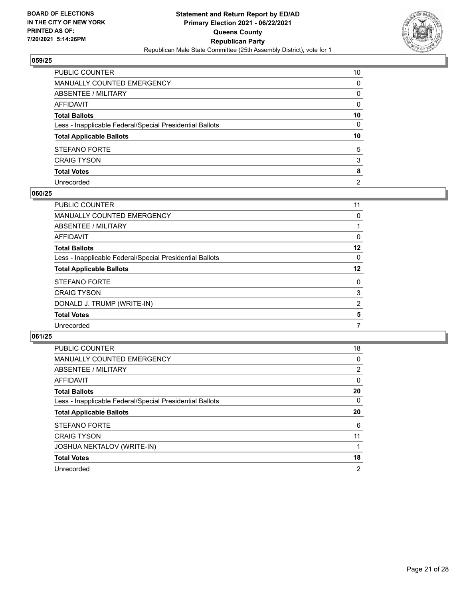

| PUBLIC COUNTER                                           | 10             |
|----------------------------------------------------------|----------------|
| MANUALLY COUNTED EMERGENCY                               | 0              |
| ABSENTEE / MILITARY                                      | 0              |
| AFFIDAVIT                                                | 0              |
| Total Ballots                                            | 10             |
| Less - Inapplicable Federal/Special Presidential Ballots | 0              |
| <b>Total Applicable Ballots</b>                          | 10             |
| <b>STEFANO FORTE</b>                                     | 5              |
| <b>CRAIG TYSON</b>                                       | 3              |
| <b>Total Votes</b>                                       | 8              |
| Unrecorded                                               | $\overline{2}$ |

#### **060/25**

| PUBLIC COUNTER                                           | 11      |
|----------------------------------------------------------|---------|
| <b>MANUALLY COUNTED EMERGENCY</b>                        | 0       |
| ABSENTEE / MILITARY                                      |         |
| AFFIDAVIT                                                | 0       |
| <b>Total Ballots</b>                                     | $12 \,$ |
| Less - Inapplicable Federal/Special Presidential Ballots | 0       |
| <b>Total Applicable Ballots</b>                          | 12      |
| <b>STEFANO FORTE</b>                                     | 0       |
| <b>CRAIG TYSON</b>                                       | 3       |
| DONALD J. TRUMP (WRITE-IN)                               | 2       |
| <b>Total Votes</b>                                       | 5       |
| Unrecorded                                               | 7       |
|                                                          |         |

| <b>PUBLIC COUNTER</b>                                    | 18             |
|----------------------------------------------------------|----------------|
| <b>MANUALLY COUNTED EMERGENCY</b>                        | 0              |
| ABSENTEE / MILITARY                                      | 2              |
| AFFIDAVIT                                                | $\Omega$       |
| <b>Total Ballots</b>                                     | 20             |
| Less - Inapplicable Federal/Special Presidential Ballots | 0              |
| <b>Total Applicable Ballots</b>                          | 20             |
| <b>STEFANO FORTE</b>                                     | 6              |
| <b>CRAIG TYSON</b>                                       | 11             |
| <b>JOSHUA NEKTALOV (WRITE-IN)</b>                        |                |
| <b>Total Votes</b>                                       | 18             |
| Unrecorded                                               | $\overline{2}$ |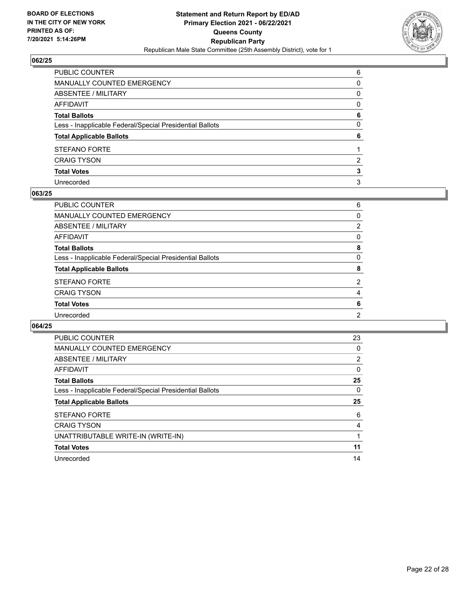

| PUBLIC COUNTER                                           | 6            |
|----------------------------------------------------------|--------------|
| MANUALLY COUNTED EMERGENCY                               | $\Omega$     |
| ABSENTEE / MILITARY                                      | 0            |
| AFFIDAVIT                                                | $\mathbf{0}$ |
| Total Ballots                                            | 6            |
| Less - Inapplicable Federal/Special Presidential Ballots | $\mathbf{0}$ |
| <b>Total Applicable Ballots</b>                          | 6            |
| STEFANO FORTE                                            |              |
| <b>CRAIG TYSON</b>                                       | 2            |
| <b>Total Votes</b>                                       | 3            |
| Unrecorded                                               |              |

#### **063/25**

| PUBLIC COUNTER                                           | 6              |
|----------------------------------------------------------|----------------|
| <b>MANUALLY COUNTED EMERGENCY</b>                        | $\Omega$       |
| ABSENTEE / MILITARY                                      | $\overline{2}$ |
| <b>AFFIDAVIT</b>                                         | 0              |
| <b>Total Ballots</b>                                     | 8              |
| Less - Inapplicable Federal/Special Presidential Ballots | $\Omega$       |
| <b>Total Applicable Ballots</b>                          | 8              |
| STEFANO FORTE                                            | $\overline{2}$ |
| <b>CRAIG TYSON</b>                                       | 4              |
| <b>Total Votes</b>                                       | 6              |
| Unrecorded                                               | $\overline{2}$ |
|                                                          |                |

| <b>PUBLIC COUNTER</b>                                    | 23             |
|----------------------------------------------------------|----------------|
| <b>MANUALLY COUNTED EMERGENCY</b>                        | 0              |
| ABSENTEE / MILITARY                                      | $\overline{2}$ |
| AFFIDAVIT                                                | 0              |
| <b>Total Ballots</b>                                     | 25             |
| Less - Inapplicable Federal/Special Presidential Ballots | 0              |
| <b>Total Applicable Ballots</b>                          | 25             |
| <b>STEFANO FORTE</b>                                     | 6              |
|                                                          |                |
| <b>CRAIG TYSON</b>                                       | 4              |
| UNATTRIBUTABLE WRITE-IN (WRITE-IN)                       |                |
| <b>Total Votes</b>                                       | 11             |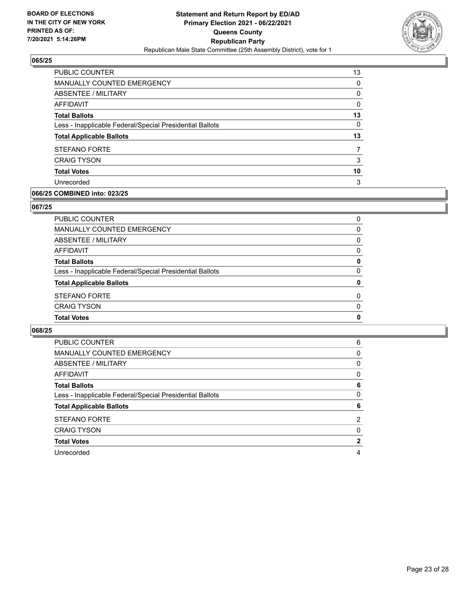

| <b>PUBLIC COUNTER</b>                                    | 13       |
|----------------------------------------------------------|----------|
| MANUALLY COUNTED EMERGENCY                               | 0        |
| ABSENTEE / MILITARY                                      | 0        |
| AFFIDAVIT                                                | 0        |
| <b>Total Ballots</b>                                     | 13       |
| Less - Inapplicable Federal/Special Presidential Ballots | $\Omega$ |
| <b>Total Applicable Ballots</b>                          | 13       |
| <b>STEFANO FORTE</b>                                     |          |
| <b>CRAIG TYSON</b>                                       | 3        |
| <b>Total Votes</b>                                       | 10       |
| Unrecorded                                               | 3        |

# **066/25 COMBINED into: 023/25**

#### **067/25**

| <b>Total Votes</b>                                       | $\mathbf{0}$ |
|----------------------------------------------------------|--------------|
| CRAIG TYSON                                              | $\mathbf{0}$ |
| <b>STEFANO FORTE</b>                                     | $\Omega$     |
| <b>Total Applicable Ballots</b>                          | 0            |
| Less - Inapplicable Federal/Special Presidential Ballots | $\mathbf{0}$ |
| <b>Total Ballots</b>                                     | 0            |
| AFFIDAVIT                                                | $\mathbf{0}$ |
| ABSENTEE / MILITARY                                      | $\mathbf{0}$ |
| MANUALLY COUNTED EMERGENCY                               | $\Omega$     |
| PUBLIC COUNTER                                           | $\Omega$     |

| <b>PUBLIC COUNTER</b>                                    | 6              |
|----------------------------------------------------------|----------------|
| <b>MANUALLY COUNTED EMERGENCY</b>                        | 0              |
| ABSENTEE / MILITARY                                      | 0              |
| AFFIDAVIT                                                | 0              |
| <b>Total Ballots</b>                                     | 6              |
| Less - Inapplicable Federal/Special Presidential Ballots | 0              |
|                                                          |                |
| <b>Total Applicable Ballots</b>                          | 6              |
| <b>STEFANO FORTE</b>                                     | $\overline{2}$ |
| <b>CRAIG TYSON</b>                                       | 0              |
| <b>Total Votes</b>                                       | $\mathbf{2}$   |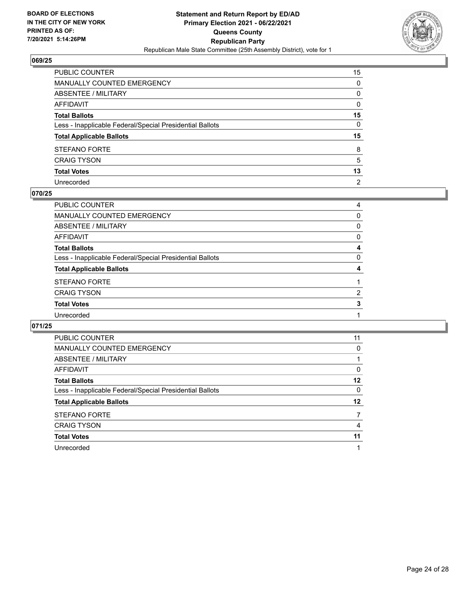

| PUBLIC COUNTER                                           | 15             |
|----------------------------------------------------------|----------------|
| MANUALLY COUNTED EMERGENCY                               | 0              |
| ABSENTEE / MILITARY                                      | 0              |
| AFFIDAVIT                                                | $\mathbf{0}$   |
| Total Ballots                                            | 15             |
| Less - Inapplicable Federal/Special Presidential Ballots | 0              |
| <b>Total Applicable Ballots</b>                          | 15             |
| STEFANO FORTE                                            | 8              |
| <b>CRAIG TYSON</b>                                       | 5              |
| <b>Total Votes</b>                                       | 13             |
| Unrecorded                                               | $\overline{2}$ |

#### **070/25**

| PUBLIC COUNTER                                           | 4        |
|----------------------------------------------------------|----------|
| MANUALLY COUNTED EMERGENCY                               | $\Omega$ |
| <b>ABSENTEE / MILITARY</b>                               | $\Omega$ |
| AFFIDAVIT                                                | 0        |
| <b>Total Ballots</b>                                     | 4        |
| Less - Inapplicable Federal/Special Presidential Ballots | $\Omega$ |
| <b>Total Applicable Ballots</b>                          | 4        |
| <b>STEFANO FORTE</b>                                     |          |
| <b>CRAIG TYSON</b>                                       | 2        |
| <b>Total Votes</b>                                       | 3        |
| Unrecorded                                               |          |
|                                                          |          |

| <b>PUBLIC COUNTER</b>                                    | 11       |
|----------------------------------------------------------|----------|
| MANUALLY COUNTED EMERGENCY                               | 0        |
| ABSENTEE / MILITARY                                      |          |
| AFFIDAVIT                                                | $\Omega$ |
| <b>Total Ballots</b>                                     | 12       |
| Less - Inapplicable Federal/Special Presidential Ballots | 0        |
| <b>Total Applicable Ballots</b>                          | 12       |
| <b>STEFANO FORTE</b>                                     | 7        |
| <b>CRAIG TYSON</b>                                       | 4        |
| <b>Total Votes</b>                                       | 11       |
| Unrecorded                                               |          |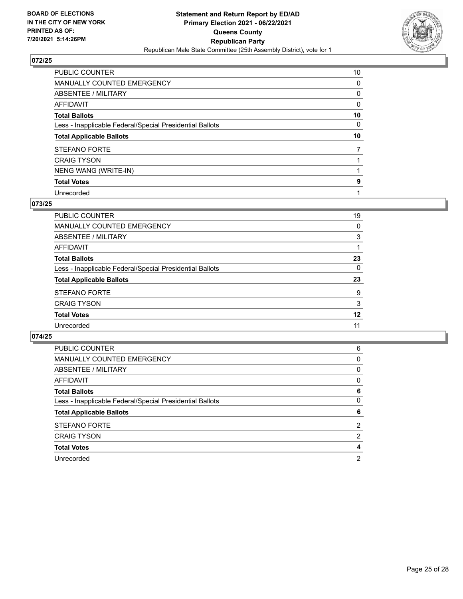

| PUBLIC COUNTER                                           | 10 |
|----------------------------------------------------------|----|
| MANUALLY COUNTED EMERGENCY                               | 0  |
| ABSENTEE / MILITARY                                      | 0  |
| AFFIDAVIT                                                | 0  |
| <b>Total Ballots</b>                                     | 10 |
| Less - Inapplicable Federal/Special Presidential Ballots | 0  |
| <b>Total Applicable Ballots</b>                          | 10 |
| <b>STEFANO FORTE</b>                                     | 7  |
| <b>CRAIG TYSON</b>                                       |    |
| NENG WANG (WRITE-IN)                                     |    |
| <b>Total Votes</b>                                       | 9  |
| Unrecorded                                               |    |

## **073/25**

| PUBLIC COUNTER                                           | 19       |
|----------------------------------------------------------|----------|
| MANUALLY COUNTED EMERGENCY                               | 0        |
| <b>ABSENTEE / MILITARY</b>                               | 3        |
| AFFIDAVIT                                                |          |
| <b>Total Ballots</b>                                     | 23       |
| Less - Inapplicable Federal/Special Presidential Ballots | $\Omega$ |
| <b>Total Applicable Ballots</b>                          | 23       |
| <b>STEFANO FORTE</b>                                     | 9        |
| <b>CRAIG TYSON</b>                                       | 3        |
| <b>Total Votes</b>                                       | 12       |
| Unrecorded                                               | 11       |

| PUBLIC COUNTER                                           | 6        |
|----------------------------------------------------------|----------|
| <b>MANUALLY COUNTED EMERGENCY</b>                        | 0        |
| ABSENTEE / MILITARY                                      | $\Omega$ |
| AFFIDAVIT                                                | $\Omega$ |
| <b>Total Ballots</b>                                     | 6        |
| Less - Inapplicable Federal/Special Presidential Ballots | 0        |
| <b>Total Applicable Ballots</b>                          | 6        |
| <b>STEFANO FORTE</b>                                     | 2        |
| <b>CRAIG TYSON</b>                                       | 2        |
| <b>Total Votes</b>                                       | 4        |
| Unrecorded                                               | 2        |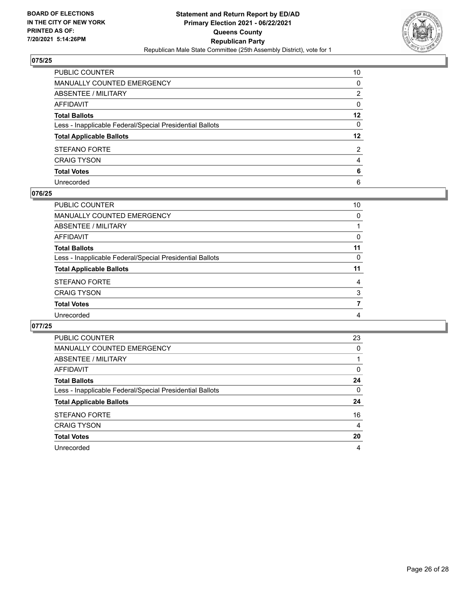

| PUBLIC COUNTER                                           | 10      |
|----------------------------------------------------------|---------|
| MANUALLY COUNTED EMERGENCY                               | 0       |
| ABSENTEE / MILITARY                                      | 2       |
| AFFIDAVIT                                                | 0       |
| Total Ballots                                            | $12 \,$ |
| Less - Inapplicable Federal/Special Presidential Ballots | 0       |
| <b>Total Applicable Ballots</b>                          | $12 \,$ |
| <b>STEFANO FORTE</b>                                     | 2       |
| <b>CRAIG TYSON</b>                                       | 4       |
| <b>Total Votes</b>                                       | 6       |
| Unrecorded                                               | 6       |

#### **076/25**

| PUBLIC COUNTER                                           | 10       |
|----------------------------------------------------------|----------|
| MANUALLY COUNTED EMERGENCY                               | 0        |
| <b>ABSENTEE / MILITARY</b>                               |          |
| AFFIDAVIT                                                | 0        |
| <b>Total Ballots</b>                                     | 11       |
| Less - Inapplicable Federal/Special Presidential Ballots | $\Omega$ |
| <b>Total Applicable Ballots</b>                          | 11       |
| <b>STEFANO FORTE</b>                                     | 4        |
| <b>CRAIG TYSON</b>                                       | 3        |
| <b>Total Votes</b>                                       | 7        |
| Unrecorded                                               | 4        |
|                                                          |          |

| <b>PUBLIC COUNTER</b>                                    | 23       |
|----------------------------------------------------------|----------|
| <b>MANUALLY COUNTED EMERGENCY</b>                        | $\Omega$ |
| <b>ABSENTEE / MILITARY</b>                               |          |
| AFFIDAVIT                                                | 0        |
| <b>Total Ballots</b>                                     | 24       |
| Less - Inapplicable Federal/Special Presidential Ballots | $\Omega$ |
| <b>Total Applicable Ballots</b>                          | 24       |
| <b>STEFANO FORTE</b>                                     | 16       |
| <b>CRAIG TYSON</b>                                       | 4        |
| <b>Total Votes</b>                                       | 20       |
| Unrecorded                                               | 4        |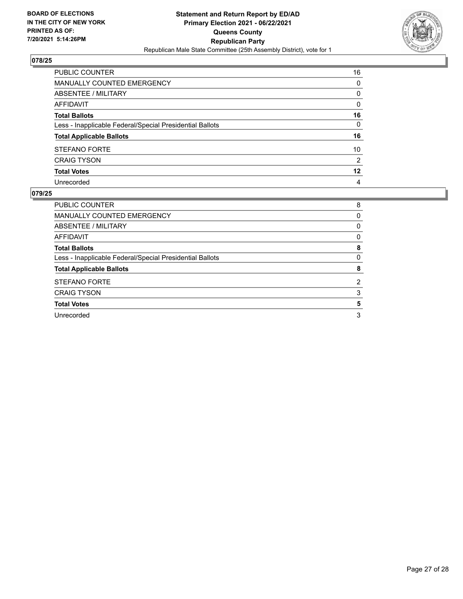

| PUBLIC COUNTER                                           | 16           |
|----------------------------------------------------------|--------------|
| MANUALLY COUNTED EMERGENCY                               | $\Omega$     |
| <b>ABSENTEE / MILITARY</b>                               | 0            |
| <b>AFFIDAVIT</b>                                         | $\mathbf{0}$ |
| <b>Total Ballots</b>                                     | 16           |
| Less - Inapplicable Federal/Special Presidential Ballots | $\mathbf{0}$ |
| <b>Total Applicable Ballots</b>                          | 16           |
| <b>STEFANO FORTE</b>                                     | 10           |
| <b>CRAIG TYSON</b>                                       | 2            |
| <b>Total Votes</b>                                       | $12 \,$      |
| Unrecorded                                               | 4            |

| PUBLIC COUNTER                                           | 8 |
|----------------------------------------------------------|---|
| <b>MANUALLY COUNTED EMERGENCY</b>                        | 0 |
| ABSENTEE / MILITARY                                      | 0 |
| AFFIDAVIT                                                | 0 |
| <b>Total Ballots</b>                                     | 8 |
| Less - Inapplicable Federal/Special Presidential Ballots | 0 |
| <b>Total Applicable Ballots</b>                          | 8 |
| <b>STEFANO FORTE</b>                                     | 2 |
| <b>CRAIG TYSON</b>                                       | 3 |
| <b>Total Votes</b>                                       | 5 |
| Unrecorded                                               | 3 |